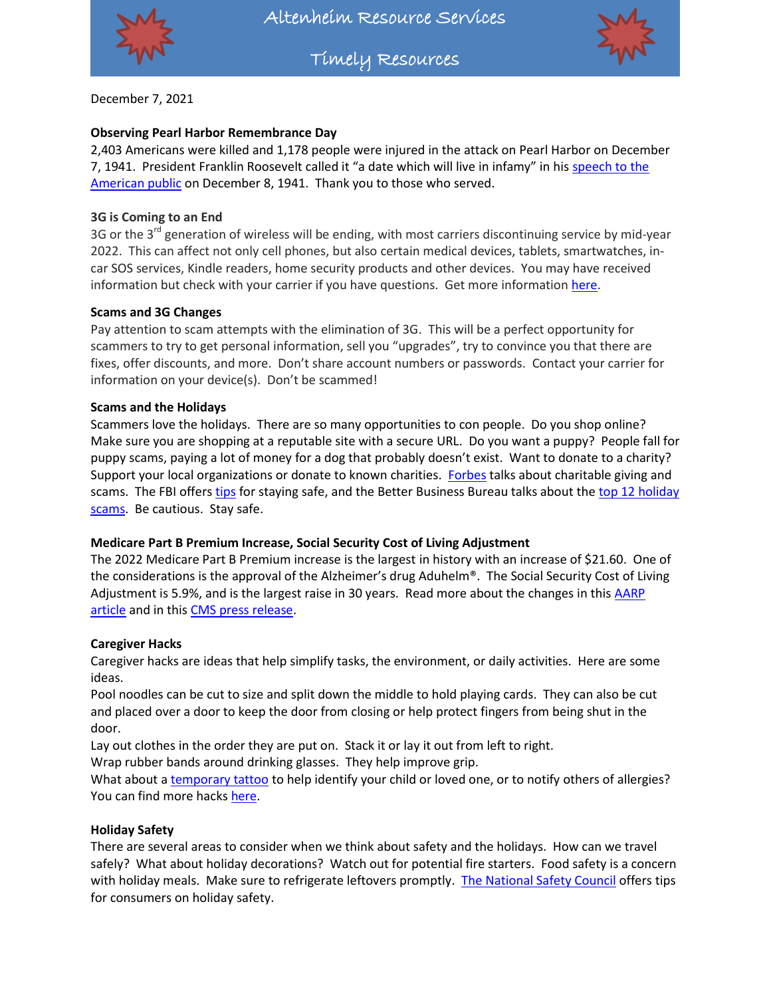

Timely Resources



December 7, 2021

## **Observing Pearl Harbor Remembrance Day**

2,403 Americans were killed and 1,178 people were injured in the attack on Pearl Harbor on December 7, 1941. President Franklin Roosevelt called it "a date which will live in infamy" in his [speech to the](https://www.loc.gov/resource/afc1986022.afc1986022_ms2201/?st=text)  [American public](https://www.loc.gov/resource/afc1986022.afc1986022_ms2201/?st=text) on December 8, 1941. Thank you to those who served.

## **3G is Coming to an End**

3G or the 3<sup>rd</sup> generation of wireless will be ending, with most carriers discontinuing service by mid-year 2022. This can affect not only cell phones, but also certain medical devices, tablets, smartwatches, incar SOS services, Kindle readers, home security products and other devices. You may have received information but check with your carrier if you have questions. Get more informatio[n here.](https://www.aarp.org/home-family/personal-technology/info-2021/phone-companies-ending-3g-service.html)

## **Scams and 3G Changes**

Pay attention to scam attempts with the elimination of 3G. This will be a perfect opportunity for scammers to try to get personal information, sell you "upgrades", try to convince you that there are fixes, offer discounts, and more. Don't share account numbers or passwords. Contact your carrier for information on your device(s). Don't be scammed!

### **Scams and the Holidays**

Scammers love the holidays. There are so many opportunities to con people. Do you shop online? Make sure you are shopping at a reputable site with a secure URL. Do you want a puppy? People fall for puppy scams, paying a lot of money for a dog that probably doesn't exist. Want to donate to a charity? Support your local organizations or donate to known charities. [Forbes](https://www.forbes.com/advisor/personal-finance/guide-to-charitable-giving-for-the-holidays/) talks about charitable giving and scams. The FBI offers [tips](https://www.fbi.gov/scams-and-safety/common-scams-and-crimes/holiday-scams) for staying safe, and the Better Business Bureau talks about the top 12 holiday scams</u>. Be cautious. Stay safe.

## **Medicare Part B Premium Increase, Social Security Cost of Living Adjustment**

The 2022 Medicare Part B Premium increase is the largest in history with an increase of \$21.60. One of the considerations is the approval of the Alzheimer's drug Aduhelm®. The Social Security Cost of Living Adjustment is 5.9%, and is the largest raise in 30 years. Read more about the changes in this [AARP](https://www.aarp.org/health/medicare-insurance/info-2021/part-b-premiums-increase.html)  [article](https://www.aarp.org/health/medicare-insurance/info-2021/part-b-premiums-increase.html) and in this [CMS press release.](https://www.cms.gov/newsroom/press-releases/cms-announces-2022-medicare-part-b-premiums)

## **Caregiver Hacks**

Caregiver hacks are ideas that help simplify tasks, the environment, or daily activities. Here are some ideas.

Pool noodles can be cut to size and split down the middle to hold playing cards. They can also be cut and placed over a door to keep the door from closing or help protect fingers from being shut in the door.

Lay out clothes in the order they are put on. Stack it or lay it out from left to right.

Wrap rubber bands around drinking glasses. They help improve grip.

What about a [temporary tattoo](http://www.tottoos.org/?utm_source=ACRC+Newsletter+April+2016&utm_campaign=ACRC+April+2016+Newsletter&utm_medium=email) to help identify your child or loved one, or to notify others of allergies? You can find more hack[s here.](https://www.thecaregiverspace.org/caregiving-hacks/)

## **Holiday Safety**

There are several areas to consider when we think about safety and the holidays. How can we travel safely? What about holiday decorations? Watch out for potential fire starters. Food safety is a concern with holiday meals. Make sure to refrigerate leftovers promptly. [The National Safety Council](https://www.nsc.org/community-safety/safety-topics/seasonal-safety/winter-safety/holiday) offers tips for consumers on holiday safety.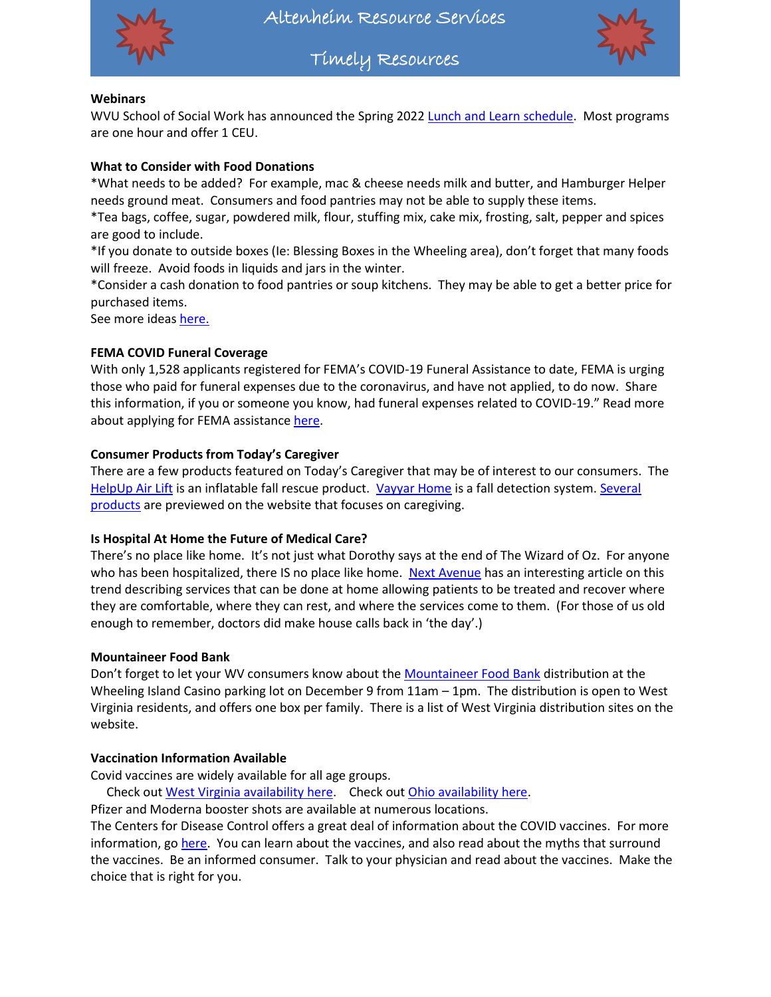

Altenheim Resource Services



Timely Resources

## **Webinars**

WVU School of Social Work has announced the Spring 2022 [Lunch and Learn schedule.](https://socialwork.wvu.edu/ce/continuing-education/lunch-learn-series) Most programs are one hour and offer 1 CEU.

### **What to Consider with Food Donations**

\*What needs to be added? For example, mac & cheese needs milk and butter, and Hamburger Helper needs ground meat. Consumers and food pantries may not be able to supply these items.

\*Tea bags, coffee, sugar, powdered milk, flour, stuffing mix, cake mix, frosting, salt, pepper and spices are good to include.

\*If you donate to outside boxes (Ie: Blessing Boxes in the Wheeling area), don't forget that many foods will freeze. Avoid foods in liquids and jars in the winter.

\*Consider a cash donation to food pantries or soup kitchens. They may be able to get a better price for purchased items.

See more idea[s here.](https://www.todaysparent.com/family/parenting/food-banks-need/)

### **FEMA COVID Funeral Coverage**

With only 1,528 applicants registered for FEMA's COVID-19 Funeral Assistance to date, FEMA is urging those who paid for funeral expenses due to the coronavirus, and have not applied, to do now. Share this information, if you or someone you know, had funeral expenses related to COVID-19." Read more about applying for FEMA assistanc[e here.](https://www.fema.gov/press-release/20211110/only-half-those-covid-19-funeral-expenses-have-applied-fema-assistance)

#### **Consumer Products from Today's Caregiver**

There are a few products featured on Today's Caregiver that may be of interest to our consumers. The [HelpUp Air Lift](https://caregiver.com/cg-community/caregiver-friendly-awards/helpup/) is an inflatable fall rescue product. [Vayyar Home](https://caregiver.com/cg-community/caregiver-friendly-awards/vayyar/) is a fall detection system. Several [products](https://caregiver.com/topics/product/) are previewed on the website that focuses on caregiving.

#### **Is Hospital At Home the Future of Medical Care?**

There's no place like home. It's not just what Dorothy says at the end of The Wizard of Oz. For anyone who has been hospitalized, there IS no place like home. [Next Avenue](https://www.nextavenue.org/hospital-treatment-at-home/?utm_source=Next+Avenue+Email+Newsletter&utm_campaign=8e04618a0e-EMAIL_CAMPAIGN_2021_11_18_COPY_01&utm_medium=email&utm_term=0_056a405b5a-8e04618a0e-166365253&mc_cid=8e04618a0e&mc_eid=1c05402bc1) has an interesting article on this trend describing services that can be done at home allowing patients to be treated and recover where they are comfortable, where they can rest, and where the services come to them. (For those of us old enough to remember, doctors did make house calls back in 'the day'.)

#### **Mountaineer Food Bank**

Don't forget to let your WV consumers know about the [Mountaineer Food Bank](https://www.mountaineerfoodbank.org/mobile-food-pantry) distribution at the Wheeling Island Casino parking lot on December 9 from 11am – 1pm. The distribution is open to West Virginia residents, and offers one box per family. There is a list of West Virginia distribution sites on the website.

#### **Vaccination Information Available**

Covid vaccines are widely available for all age groups.

Check ou[t West Virginia availability here.](https://dhhr.wv.gov/COVID-19/Pages/Vaccine.aspx) Check out [Ohio availability here.](https://coronavirus.ohio.gov/wps/portal/gov/covid-19/covid-19-vaccination-program)

Pfizer and Moderna booster shots are available at numerous locations.

The Centers for Disease Control offers a great deal of information about the COVID vaccines. For more information, go [here.](https://www.cdc.gov/coronavirus/2019-ncov/vaccines/index.html) You can learn about the vaccines, and also read about the myths that surround the vaccines. Be an informed consumer. Talk to your physician and read about the vaccines. Make the choice that is right for you.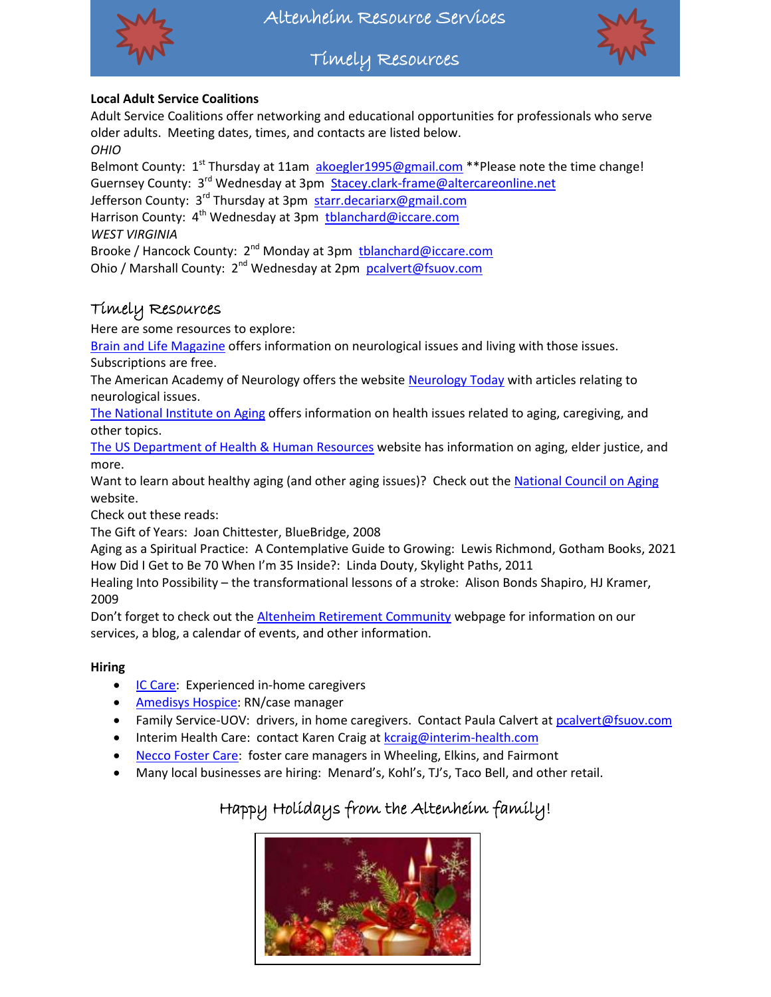

Timely Resources



## **Local Adult Service Coalitions**

Adult Service Coalitions offer networking and educational opportunities for professionals who serve older adults. Meeting dates, times, and contacts are listed below. *OHIO*

Belmont County:  $1^{st}$  Thursday at 11am [akoegler1995@gmail.com](mailto:akoegler1995@gmail.com) \*\*Please note the time change! Guernsey County: 3<sup>rd</sup> Wednesday at 3pm [Stacey.clark-frame@altercareonline.net](mailto:Stacey.clark-frame@altercareonline.net) Jefferson County: 3<sup>rd</sup> Thursday at 3pm [starr.decariarx@gmail.com](mailto:starr.decariarx@gmail.com) Harrison County: 4<sup>th</sup> Wednesday at 3pm [tblanchard@iccare.com](mailto:tblanchard@iccare.com) *WEST VIRGINIA*

Brooke / Hancock County: 2<sup>nd</sup> Monday at 3pm [tblanchard@iccare.com](mailto:tblanchard@iccare.com) Ohio / Marshall County: 2<sup>nd</sup> Wednesday at 2pm [pcalvert@fsuov.com](mailto:pcalvert@fsuov.com)

# Timely Resources

Here are some resources to explore:

[Brain and Life Magazine](https://www.brainandlife.org/) offers information on neurological issues and living with those issues. Subscriptions are free.

The American Academy of Neurology offers the website [Neurology Today](https://journals.lww.com/neurotodayonline/pages/default.aspx) with articles relating to neurological issues.

[The National Institute on Aging](https://www.nia.nih.gov/) offers information on health issues related to aging, caregiving, and other topics.

[The US Department of Health & Human Resources](https://www.hhs.gov/aging/index.html) website has information on aging, elder justice, and more.

Want to learn about healthy aging (and other aging issues)? Check out the [National Council on Aging](https://www.ncoa.org/article/get-the-facts-on-healthy-aging) website.

Check out these reads:

The Gift of Years: Joan Chittester, BlueBridge, 2008

Aging as a Spiritual Practice: A Contemplative Guide to Growing: Lewis Richmond, Gotham Books, 2021 How Did I Get to Be 70 When I'm 35 Inside?: Linda Douty, Skylight Paths, 2011

Healing Into Possibility – the transformational lessons of a stroke: Alison Bonds Shapiro, HJ Kramer, 2009

Don't forget to check out the [Altenheim Retirement Community](https://www.altenheimcommunity.com/) webpage for information on our services, a blog, a calendar of events, and other information.

## **Hiring**

- **[IC Care:](http://www.iccare.com/hiring/) Experienced in-home caregivers**
- [Amedisys Hospice:](https://www.amedisys.com/recruitics/job/st-clairsville-ohio-hospice-case-manager-registered-nurse-610df03abf46394d252dd2ce) RN/case manager
- Family Service-UOV: drivers, in home caregivers. Contact Paula Calvert a[t pcalvert@fsuov.com](mailto:pcalvert@fsuov.com)
- Interim Health Care: contact Karen Craig at [kcraig@interim-health.com](mailto:kcraig@interim-health.com)
- [Necco Foster Care:](https://www.necco.org/careers-with-social-impact) foster care managers in Wheeling, Elkins, and Fairmont
- Many local businesses are hiring: Menard's, Kohl's, TJ's, Taco Bell, and other retail.

# Happy Holidays from the Altenheim family!